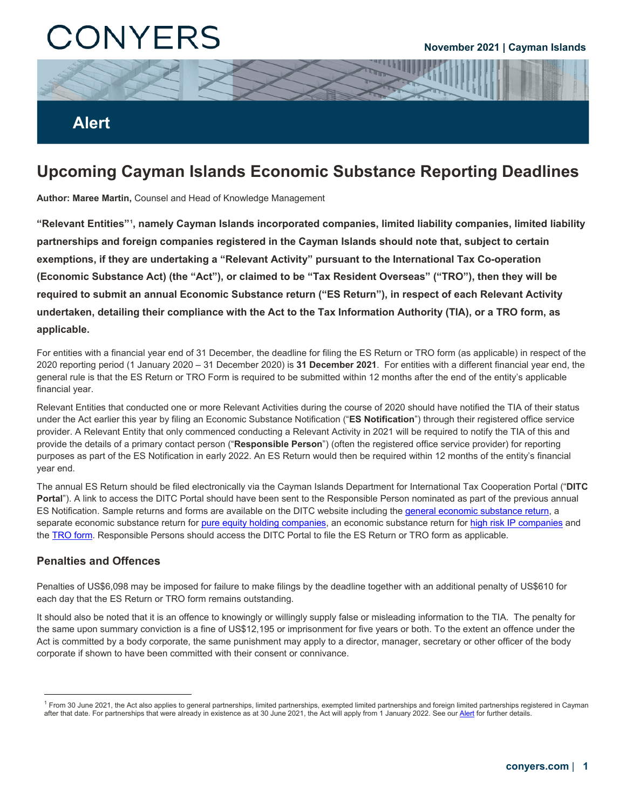# CONYERS

#### **November 2021 | Cayman Islands**

### **Alert**

## **Upcoming Cayman Islands Economic Substance Reporting Deadlines**

**Author: Maree Martin,** Counsel and Head of Knowledge Management

**"Relevant Entities"[1](#page-0-0) , namely Cayman Islands incorporated companies, limited liability companies, limited liability partnerships and foreign companies registered in the Cayman Islands should note that, subject to certain exemptions, if they are undertaking a "Relevant Activity" pursuant to the International Tax Co-operation (Economic Substance Act) (the "Act"), or claimed to be "Tax Resident Overseas" ("TRO"), then they will be required to submit an annual Economic Substance return ("ES Return"), in respect of each Relevant Activity undertaken, detailing their compliance with the Act to the Tax Information Authority (TIA), or a TRO form, as applicable.** 

For entities with a financial year end of 31 December, the deadline for filing the ES Return or TRO form (as applicable) in respect of the 2020 reporting period (1 January 2020 – 31 December 2020) is **31 December 2021**. For entities with a different financial year end, the general rule is that the ES Return or TRO Form is required to be submitted within 12 months after the end of the entity's applicable financial year.

Relevant Entities that conducted one or more Relevant Activities during the course of 2020 should have notified the TIA of their status under the Act earlier this year by filing an Economic Substance Notification ("**ES Notification**") through their registered office service provider. A Relevant Entity that only commenced conducting a Relevant Activity in 2021 will be required to notify the TIA of this and provide the details of a primary contact person ("**Responsible Person**") (often the registered office service provider) for reporting purposes as part of the ES Notification in early 2022. An ES Return would then be required within 12 months of the entity's financial year end.

The annual ES Return should be filed electronically via the Cayman Islands Department for International Tax Cooperation Portal ("**DITC Portal**"). A link to access the DITC Portal should have been sent to the Responsible Person nominated as part of the previous annual ES Notification. Sample returns and forms are available on the DITC website including th[e general economic substance return,](https://www.ditc.ky/wp-content/uploads/ES-Return-sample.pdf) a separate economic substance return for [pure equity holding companies,](https://www.ditc.ky/wp-content/uploads/ES-Return-PEHC-sample.pdf) an economic substance return for [high risk IP companies](https://www.ditc.ky/wp-content/uploads/ES-Return-showing-additional-HRIP-questions.pdf) and the [TRO form.](https://www.ditc.ky/wp-content/uploads/Form-for-Entity-tax-resident-in-another-jurisdiction.pdf) Responsible Persons should access the DITC Portal to file the ES Return or TRO form as applicable.

#### **Penalties and Offences**

l

Penalties of US\$6,098 may be imposed for failure to make filings by the deadline together with an additional penalty of US\$610 for each day that the ES Return or TRO form remains outstanding.

It should also be noted that it is an offence to knowingly or willingly supply false or misleading information to the TIA. The penalty for the same upon summary conviction is a fine of US\$12,195 or imprisonment for five years or both. To the extent an offence under the Act is committed by a body corporate, the same punishment may apply to a director, manager, secretary or other officer of the body corporate if shown to have been committed with their consent or connivance.

<span id="page-0-0"></span><sup>1</sup> From 30 June 2021, the Act also applies to general partnerships, limited partnerships, exempted limited partnerships and foreign limited partnerships registered in Cayman after that date. For partnerships that were already in existence as at 30 June 2021, the Act will apply from 1 January 2022. See our [Alert](https://www.conyers.com/publications/view/expansion-of-cayman-economic-substance-regime-to-include-partnerships/) for further details.